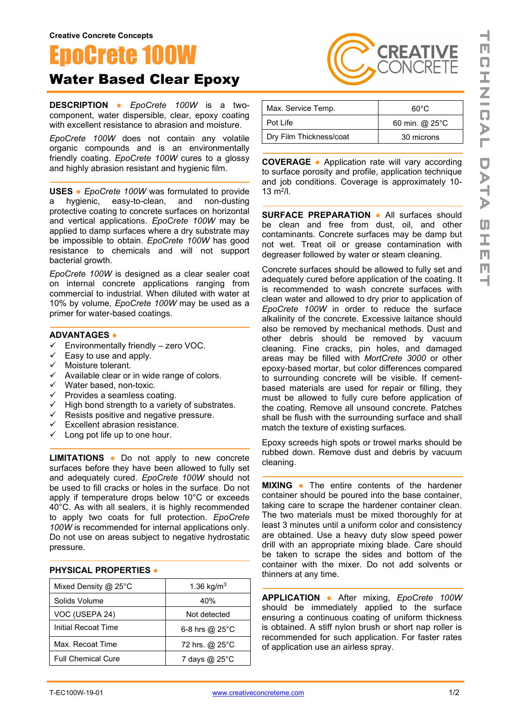## oCrete 100W Water Based Clear Epoxy

**DESCRIPTION ●** *EpoCrete 100W* is a twocomponent, water dispersible, clear, epoxy coating with excellent resistance to abrasion and moisture.

*EpoCrete 100W* does not contain any volatile organic compounds and is an environmentally friendly coating. *EpoCrete 100W* cures to a glossy and highly abrasion resistant and hygienic film.

**USES ●** *EpoCrete 100W* was formulated to provide a hygienic, easy-to-clean, and non-dusting protective coating to concrete surfaces on horizontal and vertical applications. *EpoCrete 100W* may be applied to damp surfaces where a dry substrate may be impossible to obtain. *EpoCrete 100W* has good resistance to chemicals and will not support bacterial growth.

*EpoCrete 100W* is designed as a clear sealer coat on internal concrete applications ranging from commercial to industrial. When diluted with water at 10% by volume, *EpoCrete 100W* may be used as a primer for water-based coatings.

## **ADVANTAGES ●**

- $\checkmark$  Environmentally friendly zero VOC.
- $\checkmark$  Easy to use and apply.
- √ Moisture tolerant.<br>✓ Available clear or
- Available clear or in wide range of colors.
- $\checkmark$  Water based, non-toxic.
- $\checkmark$  Provides a seamless coating.
- $\checkmark$  High bond strength to a variety of substrates.
- $\checkmark$  Resists positive and negative pressure.
- $\checkmark$  Excellent abrasion resistance.
- $\checkmark$  Long pot life up to one hour.

**LIMITATIONS ●** Do not apply to new concrete surfaces before they have been allowed to fully set and adequately cured. *EpoCrete 100W* should not be used to fill cracks or holes in the surface. Do not apply if temperature drops below 10°C or exceeds 40°C. As with all sealers, it is highly recommended to apply two coats for full protection. *EpoCrete 100W* is recommended for internal applications only. Do not use on areas subject to negative hydrostatic pressure.

## **PHYSICAL PROPERTIES ●**

| Mixed Density @ 25 $^{\circ}$ C | 1.36 kg/m <sup>3</sup>   |
|---------------------------------|--------------------------|
| Solids Volume                   | 40%                      |
| VOC (USEPA 24)                  | Not detected             |
| Initial Recoat Time             | 6-8 hrs @ $25^{\circ}$ C |
| Max. Recoat Time                | 72 hrs. @ 25°C           |
| <b>Full Chemical Cure</b>       | 7 days @ 25°C            |

| Max. Service Temp.      | 60°C           |
|-------------------------|----------------|
| Pot Life                | 60 min. @ 25°C |
| Dry Film Thickness/coat | 30 microns     |

**CREATIVE** ONCRETE

**COVERAGE ●** Application rate will vary according to surface porosity and profile, application technique and job conditions. Coverage is approximately 10-  $13 \text{ m}^2$ /l.

**SURFACE PREPARATION ●** All surfaces should be clean and free from dust, oil, and other contaminants. Concrete surfaces may be damp but not wet. Treat oil or grease contamination with degreaser followed by water or steam cleaning.

Concrete surfaces should be allowed to fully set and adequately cured before application of the coating. It is recommended to wash concrete surfaces with clean water and allowed to dry prior to application of *EpoCrete 100W* in order to reduce the surface alkalinity of the concrete. Excessive laitance should also be removed by mechanical methods. Dust and other debris should be removed by vacuum cleaning. Fine cracks, pin holes, and damaged areas may be filled with *MortCrete 3000* or other epoxy-based mortar, but color differences compared to surrounding concrete will be visible. If cementbased materials are used for repair or filling, they must be allowed to fully cure before application of the coating. Remove all unsound concrete. Patches shall be flush with the surrounding surface and shall match the texture of existing surfaces.

Epoxy screeds high spots or trowel marks should be rubbed down. Remove dust and debris by vacuum cleaning.

**MIXING ●** The entire contents of the hardener container should be poured into the base container, taking care to scrape the hardener container clean. The two materials must be mixed thoroughly for at least 3 minutes until a uniform color and consistency are obtained. Use a heavy duty slow speed power drill with an appropriate mixing blade. Care should be taken to scrape the sides and bottom of the container with the mixer. Do not add solvents or thinners at any time.

**APPLICATION ●** After mixing, *EpoCrete 100W* should be immediately applied to the surface ensuring a continuous coating of uniform thickness is obtained. A stiff nylon brush or short nap roller is recommended for such application. For faster rates of application use an airless spray.